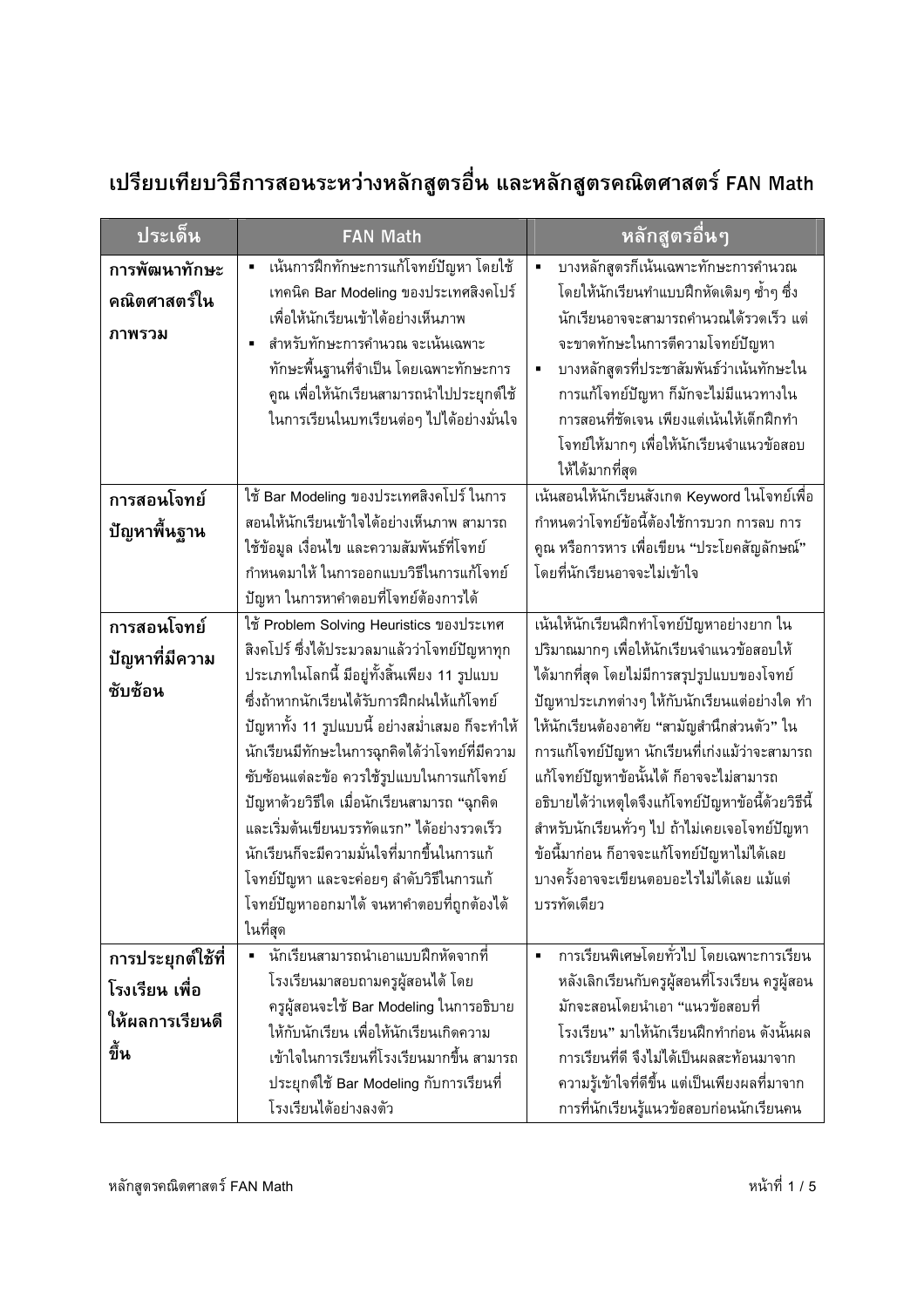## เปรียบเทียบวิธีการสอนระหว่างหลักสูตรอื่น และหลักสูตรคณิตศาสตร์ FAN Math

| ประเด็น                                                        | <b>FAN Math</b>                                                                                                                                                                                                                                                                                                                                                                                                                                                                                                                                                                         | หลักสูตรอื่นๆ                                                                                                                                                                                                                                                                                                                                                                                                                                                                                                                                        |
|----------------------------------------------------------------|-----------------------------------------------------------------------------------------------------------------------------------------------------------------------------------------------------------------------------------------------------------------------------------------------------------------------------------------------------------------------------------------------------------------------------------------------------------------------------------------------------------------------------------------------------------------------------------------|------------------------------------------------------------------------------------------------------------------------------------------------------------------------------------------------------------------------------------------------------------------------------------------------------------------------------------------------------------------------------------------------------------------------------------------------------------------------------------------------------------------------------------------------------|
| การพัฒนาทักษะ<br>คณิตศาสตร์ใน<br>ภาพรวม                        | เน้นการฝึกทักษะการแก้โจทย์ปัญหา โดยใช้<br>เทคนิค Bar Modeling ของประเทศสิงคโปร์<br>เพื่อให้นักเรียนเข้าได้อย่างเห็นภาพ<br>สำหรับทักษะการคำนวณ จะเน้นเฉพาะ<br>Ė<br>ทักษะพื้นฐานที่จำเป็น โดยเฉพาะทักษะการ<br>คูณ เพื่อให้นักเรียนสามารถนำไปประยุกต์ใช้<br>ในการเรียนในบทเรียนต่อๆ ไปได้อย่างมั่นใจ                                                                                                                                                                                                                                                                                       | บางหลักสูตรก็เน้นเฉพาะทักษะการคำนวณ<br>$\blacksquare$<br>โดยให้นักเรียนทำแบบฝึกหัดเดิมๆ ซ้ำๆ ซึ่ง<br>นักเรียนอาจจะสามารถคำนวณได้รวดเร็ว แต่<br>จะขาดทักษะในการตีความโจทย์ปัญหา<br>บางหลักสูตรที่ประชาสัมพันธ์ว่าเน้นทักษะใน<br>٠<br>การแก้โจทย์ปัญหา ก็มักจะไม่มีแนวทางใน<br>การสอนที่ชัดเจน เพียงแต่เน้นให้เด็กฝึกทำ<br>โจทย์ให้มากๆ เพื่อให้นักเรียนจำแนวข้อสอบ<br>ให้ได้มากที่สุด                                                                                                                                                                 |
| การสอนโจทย์<br>ปัญหาพื้นฐาน                                    | ใช้ Bar Modeling ของประเทศสิงคโปร์ ในการ<br>สอนให้นักเรียนเข้าใจได้อย่างเห็นภาพ สามารถ<br>ใช้ข้อมูล เงื่อนไข และความสัมพันธ์ที่โจทย์<br>กำหนดมาให้ ในการออกแบบวิธีในการแก้โจทย์<br>ปัญหา ในการหาคำตอบที่โจทย์ต้องการได้                                                                                                                                                                                                                                                                                                                                                                 | ้เน้นสอนให้นักเรียนสังเกต Keyword ในโจทย์เพื่อ<br>กำหนดว่าโจทย์ข้อนี้ต้องใช้การบวก การลบ การ<br>คูณ หรือการหาร เพื่อเขียน "ประโยคสัญลักษณ์"<br>โดยที่นักเรียนอาจจะไม่เข้าใจ                                                                                                                                                                                                                                                                                                                                                                          |
| การสอนโจทย์<br>ปัญหาที่มีความ<br>ซับซ้อน                       | ใช้ Problem Solving Heuristics ของประเทศ<br>สิงคโปร์ ซึ่งได้ประมวลมาแล้วว่าโจทย์ปัญหาทุก<br>ประเภทในโลกนี้ มีอยู่ทั้งสิ้นเพียง 11 รูปแบบ<br>ซึ่งถ้าหากนักเรียนได้รับการฝึกฝนให้แก้โจทย์<br>ปัญหาทั้ง 11 รูปแบบนี้ อย่างสม่ำเสมอ ก็จะทำให้<br>นักเรียนมีทักษะในการฉุกคิดได้ว่าโจทย์ที่มีความ<br>ซับซ้อนแต่ละข้อ ควรใช้รูปแบบในการแก้โจทย์<br>ปัญหาด้วยวิธีใด เมื่อนักเรียนสามารถ "ฉุกคิด<br>และเริ่มต้นเขียนบรรทัดแรก" ได้อย่างรวดเร็ว<br>นักเรียนก็จะมีความมั่นใจที่มากขึ้นในการแก้<br>โจทย์ปัญหา และจะค่อยๆ ลำดับวิธีในการแก้<br>โจทย์ปัญหาออกมาได้ จนหาคำตอบที่ถูกต้องได้<br>ในที่สุด | เน้นให้นักเรียนฝึกทำโจทย์ปัญหาอย่างยาก ใน<br>ปริมาณมากๆ เพื่อให้นักเรียนจำแนวข้อสอบให้<br>ได้มากที่สุด โดยไม่มีการสรุปรูปแบบของโจทย์<br>ปัญหาประเภทต่างๆ ให้กับนักเรียนแต่อย่างใด ทำ<br>ให้นักเรียนต้องอาศัย "สามัญสำนึกส่วนตัว" ใน<br>การแก้โจทย์ปัญหา นักเรียนที่เก่งแม้ว่าจะสามารถ<br>แก้โจทย์ปัญหาข้อนั้นได้ ก็อาจจะไม่สามารถ<br>อธิบายได้ว่าเหตุใดจึงแก้โจทย์ปัญหาข้อนี้ด้วยวิธีนี้<br>สำหรับนักเรียนทั่วๆ ไป ถ้าไม่เคยเจอโจทย์ปัญหา<br>ข้อนี้มาก่อน ก็อาจจะแก้โจทย์ปัญหาไม่ได้เลย<br>้บางครั้งอาจจะเขียนตอบอะไรไม่ได้เลย แม้แต่<br>บรรทัดเดียว |
| การประยุกต์ใช้ที่<br>โรงเรียน เพื่อ<br>ให้ผลการเรียนดี<br>ขึ้น | นักเรียนสามารถนำเอาแบบฝึกหัดจากที่<br>โรงเรียนมาสอบถามครูผู้สอนได้ โดย<br>ครูผู้สอนจะใช้ Bar Modeling ในการอธิบาย<br>ให้กับนักเรียน เพื่อให้นักเรียนเกิดความ<br>เข้าใจในการเรียนที่โรงเรียนมากขึ้น สามารถ<br>ประยุกต์ใช้ Bar Modeling กับการเรียนที่<br>โรงเรียนได้อย่างลงตัว                                                                                                                                                                                                                                                                                                           | การเรียนพิเศษโดยทั่วไป โดยเฉพาะการเรียน<br>$\blacksquare$<br>หลังเลิกเรียนกับครูผู้สอนที่โรงเรียน ครูผู้สอน<br>มักจะสอนโดยนำเอา "แนวข้อสอบที่<br>โรงเรียน" มาให้นักเรียนฝึกทำก่อน ดังนั้นผล<br>การเรียนที่ดี จึงไม่ได้เป็นผลสะท้อนมาจาก<br>้ความรู้เข้าใจที่ดีขึ้น แต่เป็นเพียงผลที่มาจาก<br>การที่นักเรียนรู้แนวข้อสอบก่อนนักเรียนคน                                                                                                                                                                                                                |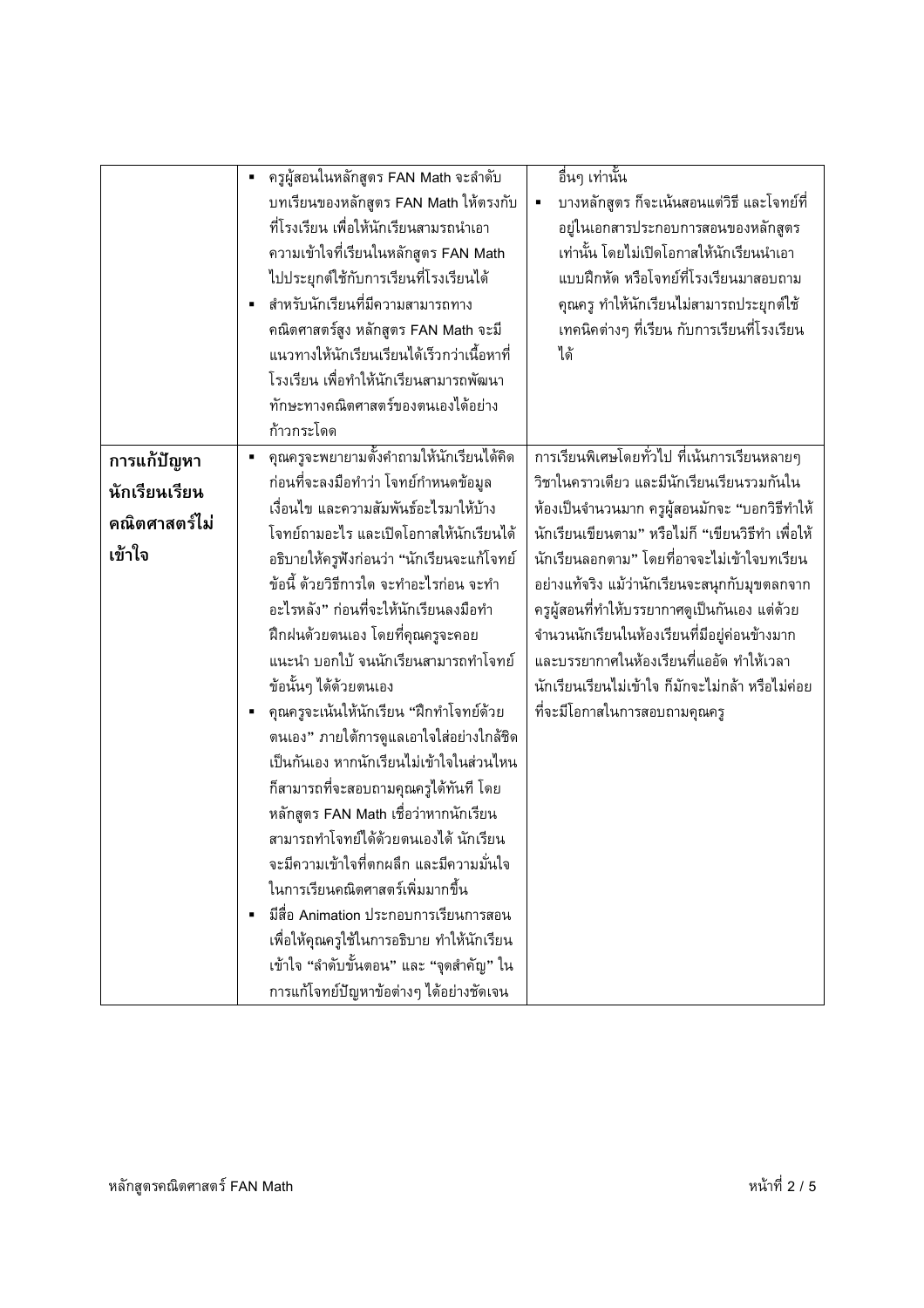|               | ครูผู้สอนในหลักสูตร FAN Math จะลำดับ<br>$\blacksquare$<br>บทเรียนของหลักสูตร FAN Math ให้ตรงกับ<br>ที่โรงเรียน เพื่อให้นักเรียนสามรถนำเอา<br>้ความเข้าใจที่เรียนในหลักสูตร FAN Math<br>ไปประยุกต์ใช้กับการเรียนที่โรงเรียนได้<br>สำหรับนักเรียนที่มีความสามารถทาง<br>คณิตศาสตร์สูง หลักสูตร FAN Math จะมี<br>แนวทางให้นักเรียนเรียนได้เร็วกว่าเนื้อหาที่<br>โรงเรียน เพื่อทำให้นักเรียนสามารถพัฒนา<br>ทักษะทางคณิตศาสตร์ของตนเองได้อย่าง<br>ก้าวกระโดด | อื่นๆ เท่านั้น<br>บางหลักสูตร ก็จะเน้นสอนแต่วิธี และโจทย์ที่<br>٠<br>อยู่ในเอกสารประกอบการสอนของหลักสูตร<br>เท่านั้น โดยไม่เปิดโอกาสให้นักเรียนนำเอา<br>แบบฝึกหัด หรือโจทย์ที่โรงเรียนมาสอบถาม<br>คุณครู ทำให้นักเรียนไม่สามารถประยุกต์ใช้<br>เทคนิคต่างๆ ที่เรียน กับการเรียนที่โรงเรียน<br>ได้ |
|---------------|--------------------------------------------------------------------------------------------------------------------------------------------------------------------------------------------------------------------------------------------------------------------------------------------------------------------------------------------------------------------------------------------------------------------------------------------------------|--------------------------------------------------------------------------------------------------------------------------------------------------------------------------------------------------------------------------------------------------------------------------------------------------|
| การแก้ปัญหา   | ้คุณครูจะพยายามตั้งคำถามให้นักเรียนได้คิด                                                                                                                                                                                                                                                                                                                                                                                                              | การเรียนพิเศษโดยทั่วไป ที่เน้นการเรียนหลายๆ                                                                                                                                                                                                                                                      |
| นักเรียนเรียน | ก่อนที่จะลงมือทำว่า โจทย์กำหนดข้อมูล                                                                                                                                                                                                                                                                                                                                                                                                                   | วิชาในคราวเดียว และมีนักเรียนเรียนรวมกันใน                                                                                                                                                                                                                                                       |
| คณิตศาสตร์ไม่ | เงื่อนไข และความสัมพันธ์อะไรมาให้บ้าง                                                                                                                                                                                                                                                                                                                                                                                                                  | ห้องเป็นจำนวนมาก ครูผู้สอนมักจะ "บอกวิธีทำให้                                                                                                                                                                                                                                                    |
| เข้าใจ        | โจทย์ถามอะไร และเปิดโอกาสให้นักเรียนได้                                                                                                                                                                                                                                                                                                                                                                                                                | ้นักเรียนเขียนตาม" หรือไม่ก็ "เขียนวิธีทำ เพื่อให้                                                                                                                                                                                                                                               |
|               | อธิบายให้ครูฟังก่อนว่า "นักเรียนจะแก้โจทย์                                                                                                                                                                                                                                                                                                                                                                                                             | นักเรียนลอกตาม" โดยที่อาจจะไม่เข้าใจบทเรียน                                                                                                                                                                                                                                                      |
|               | ข้อนี้ ด้วยวิธีการใด จะทำอะไรก่อน จะทำ                                                                                                                                                                                                                                                                                                                                                                                                                 | อย่างแท้จริง แม้ว่านักเรียนจะสนุกกับมุขตลกจาก                                                                                                                                                                                                                                                    |
|               | ้อะไรหลัง" ก่อนที่จะให้นักเรียนลงมือทำ                                                                                                                                                                                                                                                                                                                                                                                                                 | ้ครูผู้สอนที่ทำให้บรรยากาศดูเป็นกันเอง แต่ด้วย                                                                                                                                                                                                                                                   |
|               | ฝึกฝนด้วยตนเอง โดยที่คุณครูจะคอย                                                                                                                                                                                                                                                                                                                                                                                                                       | จำนวนนักเรียนในห้องเรียนที่มีอยู่ค่อนข้างมาก                                                                                                                                                                                                                                                     |
|               | แนะนำ บอกใบ้ จนนักเรียนสามารถทำโจทย์                                                                                                                                                                                                                                                                                                                                                                                                                   | และบรรยากาศในห้องเรียนที่แออัด ทำให้เวลา                                                                                                                                                                                                                                                         |
|               | ข้อนั้นๆ ได้ด้วยตนเอง                                                                                                                                                                                                                                                                                                                                                                                                                                  | นักเรียนเรียนไม่เข้าใจ ก็มักจะไม่กล้า หรือไม่ค่อย                                                                                                                                                                                                                                                |
|               | คุณครูจะเน้นให้นักเรียน "ฝึกทำโจทย์ด้วย                                                                                                                                                                                                                                                                                                                                                                                                                | ที่จะมีโอกาสในการสอบถามคุณครู                                                                                                                                                                                                                                                                    |
|               | ตนเอง" ภายใต้การดูแลเอาใจใส่อย่างใกล้ชิด                                                                                                                                                                                                                                                                                                                                                                                                               |                                                                                                                                                                                                                                                                                                  |
|               | เป็นกันเอง หากนักเรียนไม่เข้าใจในส่วนไหน                                                                                                                                                                                                                                                                                                                                                                                                               |                                                                                                                                                                                                                                                                                                  |
|               | ก็สามารถที่จะสอบถามคุณครูได้ทันที โดย                                                                                                                                                                                                                                                                                                                                                                                                                  |                                                                                                                                                                                                                                                                                                  |
|               | หลักสูตร FAN Math เชื่อว่าหากนักเรียน                                                                                                                                                                                                                                                                                                                                                                                                                  |                                                                                                                                                                                                                                                                                                  |
|               | สามารถทำโจทย์ได้ด้วยตนเองได้ นักเรียน                                                                                                                                                                                                                                                                                                                                                                                                                  |                                                                                                                                                                                                                                                                                                  |
|               | ้จะมีความเข้าใจที่ตกผลึก และมีความมั่นใจ                                                                                                                                                                                                                                                                                                                                                                                                               |                                                                                                                                                                                                                                                                                                  |
|               | ในการเรียนคณิตศาสตร์เพิ่มมากขึ้น                                                                                                                                                                                                                                                                                                                                                                                                                       |                                                                                                                                                                                                                                                                                                  |
|               | มีสื่อ Animation ประกอบการเรียนการสอน                                                                                                                                                                                                                                                                                                                                                                                                                  |                                                                                                                                                                                                                                                                                                  |
|               | เพื่อให้คุณครูใช้ในการอธิบาย ทำให้นักเรียน                                                                                                                                                                                                                                                                                                                                                                                                             |                                                                                                                                                                                                                                                                                                  |
|               | เข้าใจ "ลำดับขั้นตอน" และ "จุดสำคัญ" ใน                                                                                                                                                                                                                                                                                                                                                                                                                |                                                                                                                                                                                                                                                                                                  |
|               | การแก้โจทย์ปัญหาข้อต่างๆ ได้อย่างชัดเจน                                                                                                                                                                                                                                                                                                                                                                                                                |                                                                                                                                                                                                                                                                                                  |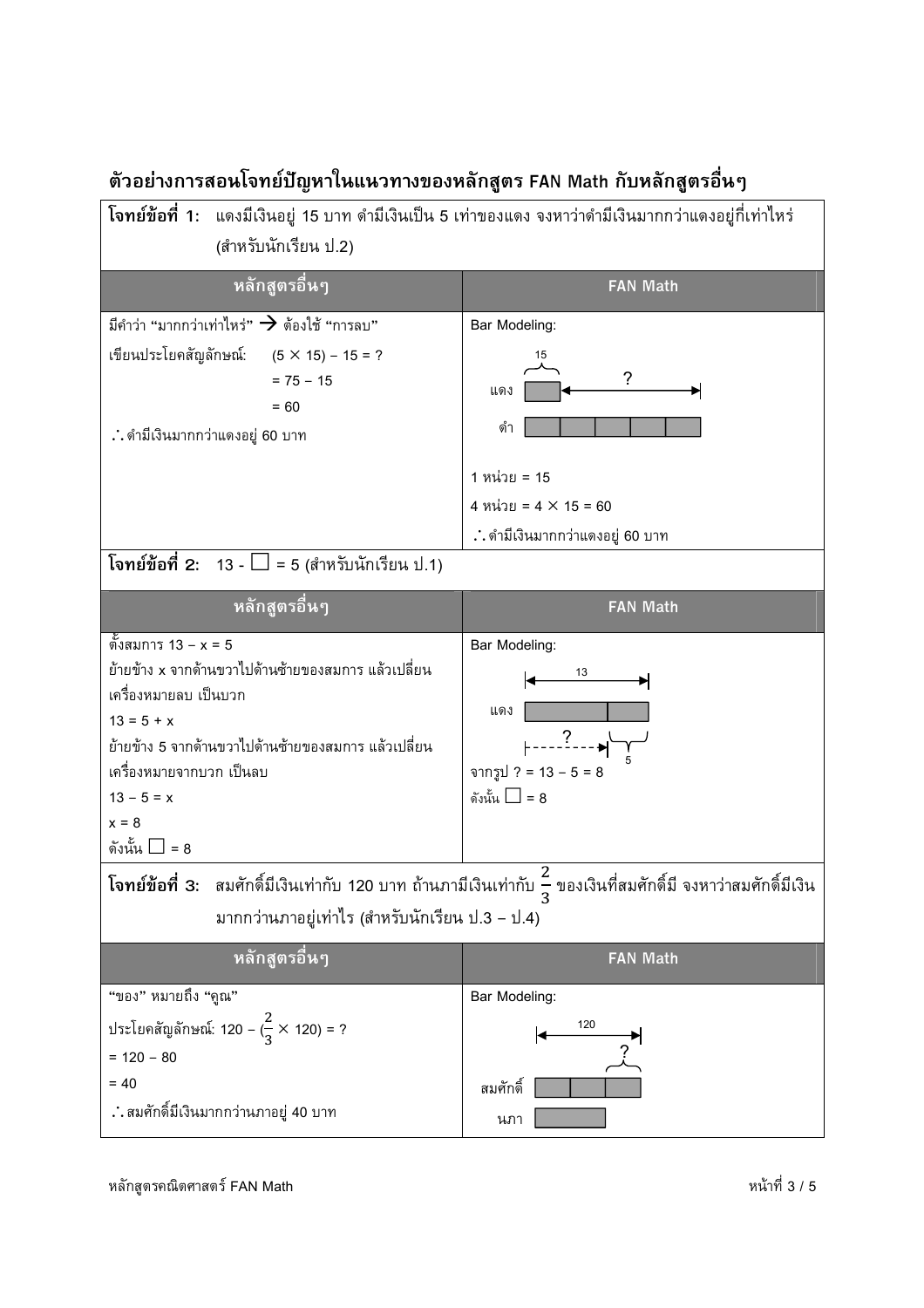

## ตัวอย่างการสอนโจทย์ปัญหาในแนวทางของหลักสูตร FAN Math กับหลักสูตรอื่นๆ

หลักสูตรคณิตศาสตร์ FAN Math  $^\dagger$  3 / 5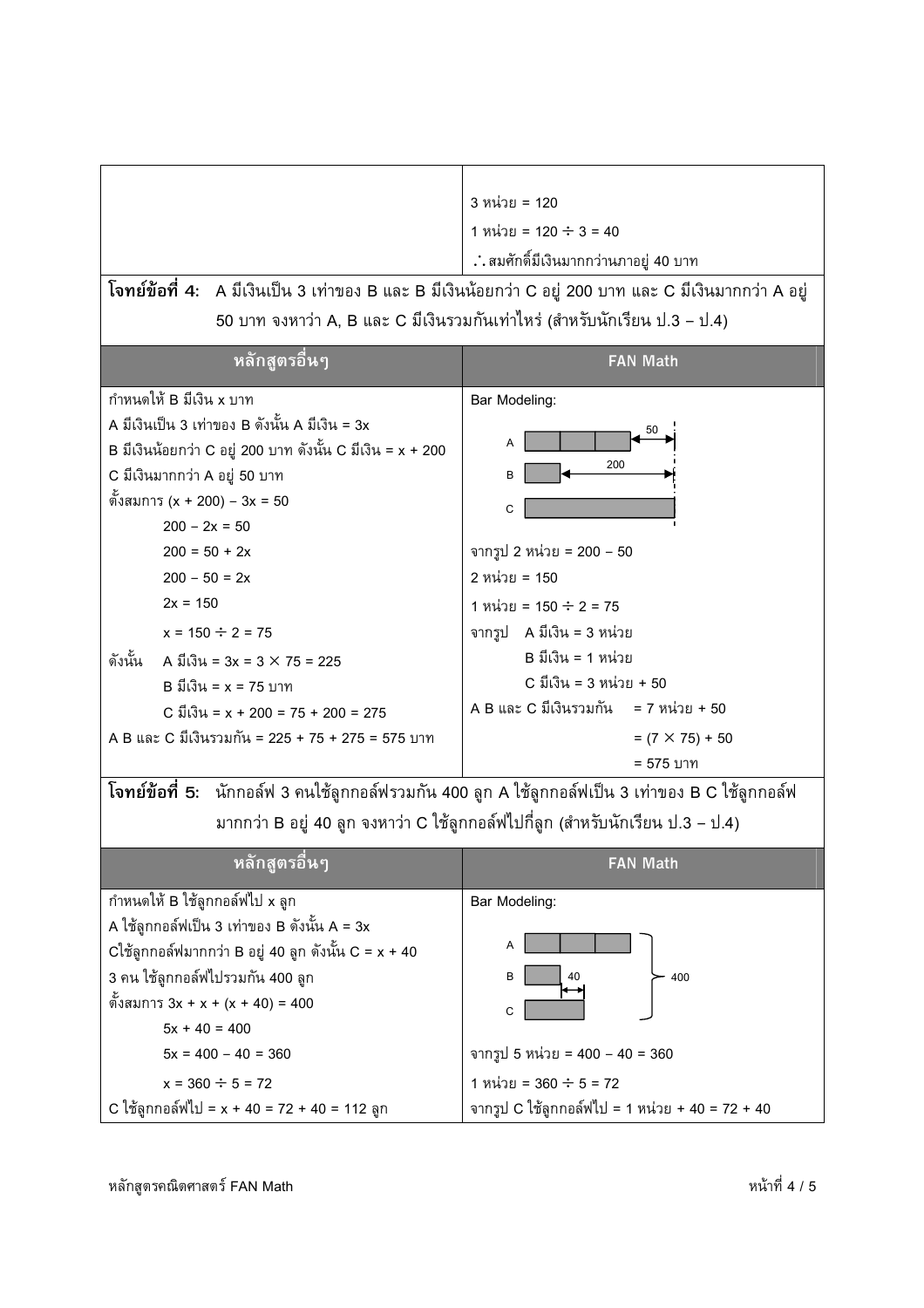|                                                                                                               | 3 หน่วย = 120                                                                  |  |  |
|---------------------------------------------------------------------------------------------------------------|--------------------------------------------------------------------------------|--|--|
|                                                                                                               | 1 หน่วย = 120 $\div$ 3 = 40                                                    |  |  |
|                                                                                                               | ∴ สมศักดิ์มีเงินมากกว่านภาอยู่ 40 บาท                                          |  |  |
| <b>โจทย์ข้อที่ 4:</b> A มีเงินเป็น 3 เท่าของ B และ B มีเงินน้อยกว่า C อยู่ 200 บาท และ C มีเงินมากกว่า A อยู่ |                                                                                |  |  |
| 50 บาท จงหาว่า A, B และ C มีเงินรวมกันเท่าใหร่ (สำหรับนักเรียน ป.3 – ป.4)                                     |                                                                                |  |  |
|                                                                                                               |                                                                                |  |  |
| หลักสูตรอื่นๆ                                                                                                 | <b>FAN Math</b>                                                                |  |  |
| กำหนดให้ B มีเงิน x บาท                                                                                       | Bar Modeling:                                                                  |  |  |
| A มีเงินเป็น 3 เท่าของ B ดังนั้น A มีเงิน = 3x                                                                | 50                                                                             |  |  |
| B มีเงินน้อยกว่า C อยู่ 200 บาท ดังนั้น C มีเงิน = x + 200                                                    | Α                                                                              |  |  |
| C มีเงินมากกว่า A อยู่ 50 บาท                                                                                 | 200<br>B                                                                       |  |  |
| ตั้งสมการ (x + 200) – 3x = 50                                                                                 | C                                                                              |  |  |
| $200 - 2x = 50$                                                                                               |                                                                                |  |  |
| $200 = 50 + 2x$                                                                                               | จากรูป 2 หน่วย = 200 – 50                                                      |  |  |
| $200 - 50 = 2x$                                                                                               | 2 หน่วย = 150                                                                  |  |  |
| $2x = 150$                                                                                                    | 1 หน่วย = 150 ÷ 2 = 75                                                         |  |  |
| $x = 150 \div 2 = 75$                                                                                         | จากรูป A มีเงิน = 3 หน่วย                                                      |  |  |
| ดังนั้น<br>A มีเงิน = $3x = 3 \times 75 = 225$                                                                | B มีเงิน = 1 หน่วย                                                             |  |  |
| $B$ มีเงิน = x = 75 บาท                                                                                       | C มีเงิน = 3 หน่วย + 50                                                        |  |  |
| C มีเงิน = x + 200 = 75 + 200 = 275                                                                           | A B และ C มีเงินรวมกัน = 7 หน่วย + 50                                          |  |  |
| A B และ C มีเงินรวมกัน = 225 + 75 + 275 = 575 บาท                                                             | $= (7 \times 75) + 50$                                                         |  |  |
|                                                                                                               | = 575 บาท                                                                      |  |  |
| <b>โจทย์ข้อที่ 5:</b> นักกอล์ฟ 3 คนใช้ลูกกอล์ฟรวมกัน 400 ลูก A ใช้ลูกกอล์ฟเป็น 3 เท่าของ B C ใช้ลูกกอล์ฟ      |                                                                                |  |  |
|                                                                                                               |                                                                                |  |  |
|                                                                                                               | มากกว่า B อยู่ 40 ลูก จงหาว่า C ใช้ลูกกอล์ฟไปกี่ลูก (สำหรับนักเรียน ป.3 – ป.4) |  |  |
| <u>หลักสูตรอื่นๆ</u>                                                                                          | <b>FAN Math</b>                                                                |  |  |
| กำหนดให้ B ใช้ลูกกอล์ฟไป x ลูก                                                                                | Bar Modeling:                                                                  |  |  |
| A ใช้ลูกกอล์ฟเป็น 3 เท่าของ B ดังนั้น A = 3x                                                                  |                                                                                |  |  |
| $C$ ใช้ลูกกอล์ฟมากกว่า B อยู่ 40 ลูก ดังนั้น $C = x + 40$                                                     | Α                                                                              |  |  |
| 3 คน ใช้ลูกกอล์ฟไปรวมกัน 400 ลูก                                                                              | в<br>40<br>400                                                                 |  |  |
| ตั้งสมการ 3x + x + (x + 40) = 400                                                                             |                                                                                |  |  |
| $5x + 40 = 400$                                                                                               | C                                                                              |  |  |
| $5x = 400 - 40 = 360$                                                                                         | จากรูป 5 หน่วย = 400 – 40 = 360                                                |  |  |
| $x = 360 \div 5 = 72$                                                                                         | 1 หน่วย = 360 $\div$ 5 = 72                                                    |  |  |
| C ใช้ลูกกอล์ฟไป = x + 40 = 72 + 40 = 112 ลูก                                                                  | จากรูป C ใช้ลูกกอล์ฟไป = 1 หน่วย + 40 = 72 + 40                                |  |  |